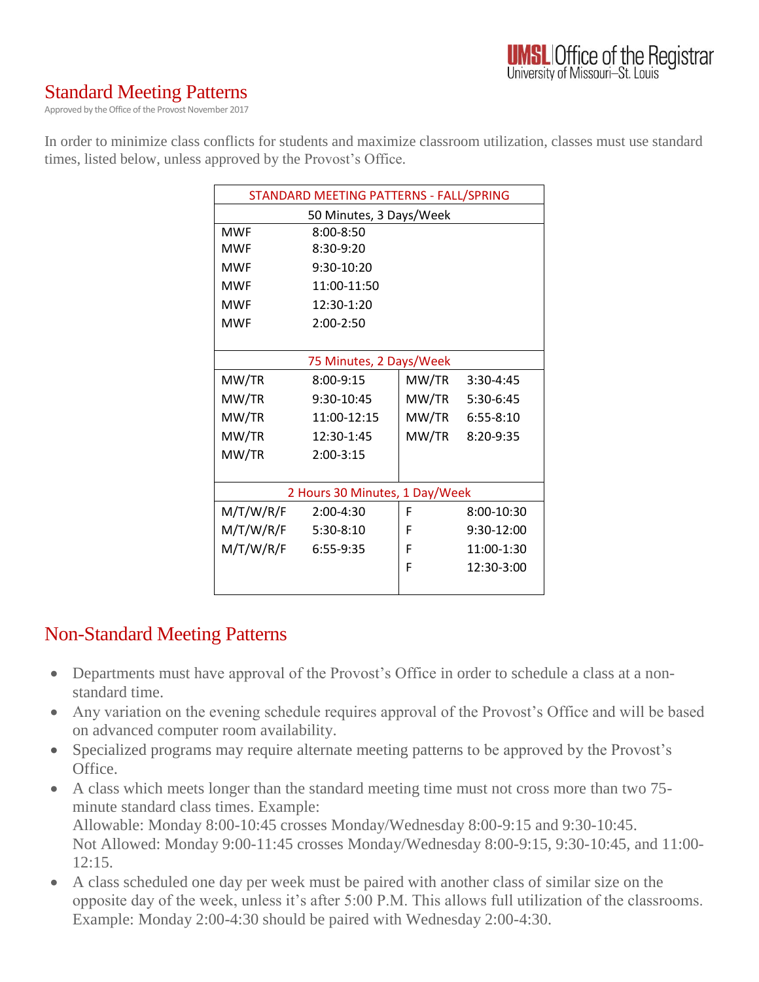### Standard Meeting Patterns

Approved by the Office of the Provost November 2017

In order to minimize class conflicts for students and maximize classroom utilization, classes must use standard times, listed below, unless approved by the Provost's Office.

| STANDARD MEETING PATTERNS - FALL/SPRING |               |       |                 |
|-----------------------------------------|---------------|-------|-----------------|
| 50 Minutes, 3 Days/Week                 |               |       |                 |
| <b>MWF</b>                              | $8:00 - 8:50$ |       |                 |
| <b>MWF</b>                              | $8:30-9:20$   |       |                 |
| <b>MWF</b>                              | $9:30-10:20$  |       |                 |
| <b>MWF</b>                              | 11:00-11:50   |       |                 |
| <b>MWF</b>                              | 12:30-1:20    |       |                 |
| <b>MWF</b>                              | $2:00-2:50$   |       |                 |
|                                         |               |       |                 |
| 75 Minutes, 2 Days/Week                 |               |       |                 |
| MW/TR                                   | $8:00-9:15$   | MW/TR | $3:30-4:45$     |
| MW/TR                                   | 9:30-10:45    |       | MW/TR 5:30-6:45 |
| MW/TR                                   | 11:00-12:15   |       | MW/TR 6:55-8:10 |
| MW/TR                                   | 12:30-1:45    | MW/TR | 8:20-9:35       |
| MW/TR                                   | $2:00-3:15$   |       |                 |
|                                         |               |       |                 |
| 2 Hours 30 Minutes, 1 Day/Week          |               |       |                 |
| M/T/W/R/F                               | 2:00-4:30     | F     | 8:00-10:30      |
| M/T/W/R/F 5:30-8:10                     |               | F     | 9:30-12:00      |
| M/T/W/R/F                               | 6:55-9:35     | F     | 11:00-1:30      |
|                                         |               | F     | 12:30-3:00      |
|                                         |               |       |                 |

#### Non-Standard Meeting Patterns

- Departments must have approval of the Provost's Office in order to schedule a class at a nonstandard time.
- Any variation on the evening schedule requires approval of the Provost's Office and will be based on advanced computer room availability.
- Specialized programs may require alternate meeting patterns to be approved by the Provost's Office.
- A class which meets longer than the standard meeting time must not cross more than two 75 minute standard class times. Example: Allowable: Monday 8:00-10:45 crosses Monday/Wednesday 8:00-9:15 and 9:30-10:45. Not Allowed: Monday 9:00-11:45 crosses Monday/Wednesday 8:00-9:15, 9:30-10:45, and 11:00-  $12:15.$
- A class scheduled one day per week must be paired with another class of similar size on the opposite day of the week, unless it's after 5:00 P.M. This allows full utilization of the classrooms. Example: Monday 2:00-4:30 should be paired with Wednesday 2:00-4:30.